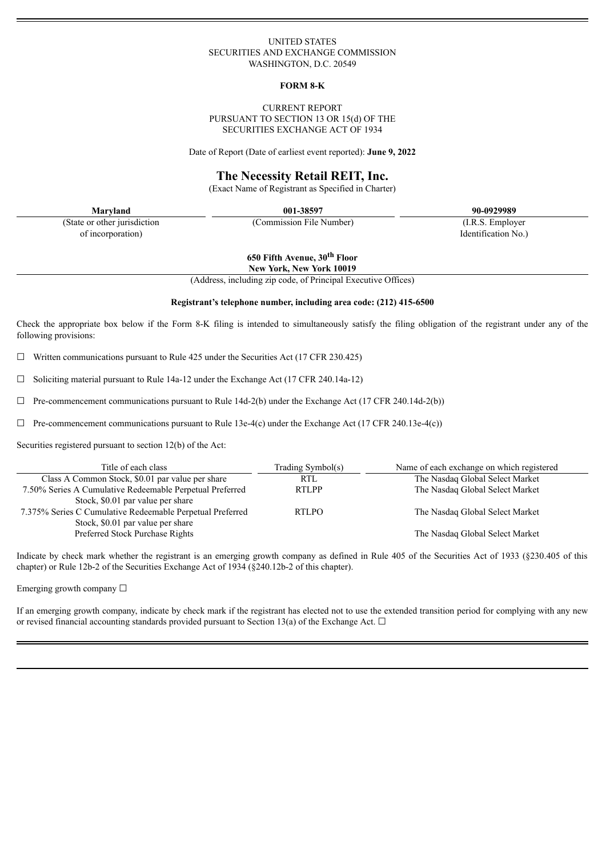#### UNITED STATES SECURITIES AND EXCHANGE COMMISSION WASHINGTON, D.C. 20549

#### **FORM 8-K**

#### CURRENT REPORT PURSUANT TO SECTION 13 OR 15(d) OF THE SECURITIES EXCHANGE ACT OF 1934

Date of Report (Date of earliest event reported): **June 9, 2022**

## **The Necessity Retail REIT, Inc.**

(Exact Name of Registrant as Specified in Charter)

(State or other jurisdiction of incorporation)

**Maryland 001-38597 90-0929989**

(Commission File Number) (I.R.S. Employer

Identification No.)

**650 Fifth Avenue, 30 th Floor**

**New York, New York 10019**

(Address, including zip code, of Principal Executive Offices)

#### **Registrant's telephone number, including area code: (212) 415-6500**

Check the appropriate box below if the Form 8-K filing is intended to simultaneously satisfy the filing obligation of the registrant under any of the following provisions:

 $\Box$  Written communications pursuant to Rule 425 under the Securities Act (17 CFR 230.425)

 $\Box$  Soliciting material pursuant to Rule 14a-12 under the Exchange Act (17 CFR 240.14a-12)

 $\Box$  Pre-commencement communications pursuant to Rule 14d-2(b) under the Exchange Act (17 CFR 240.14d-2(b))

 $\Box$  Pre-commencement communications pursuant to Rule 13e-4(c) under the Exchange Act (17 CFR 240.13e-4(c))

Securities registered pursuant to section 12(b) of the Act:

| Title of each class                                       | Trading Symbol(s) | Name of each exchange on which registered |
|-----------------------------------------------------------|-------------------|-------------------------------------------|
| Class A Common Stock, \$0.01 par value per share          | <b>RTL</b>        | The Nasdaq Global Select Market           |
| 7.50% Series A Cumulative Redeemable Perpetual Preferred  | <b>RTLPP</b>      | The Nasdaq Global Select Market           |
| Stock, \$0.01 par value per share                         |                   |                                           |
| 7.375% Series C Cumulative Redeemable Perpetual Preferred | <b>RTLPO</b>      | The Nasdaq Global Select Market           |
| Stock, \$0.01 par value per share                         |                   |                                           |
| Preferred Stock Purchase Rights                           |                   | The Nasdaq Global Select Market           |

Indicate by check mark whether the registrant is an emerging growth company as defined in Rule 405 of the Securities Act of 1933 (§230.405 of this chapter) or Rule 12b-2 of the Securities Exchange Act of 1934 (§240.12b-2 of this chapter).

Emerging growth company ☐

If an emerging growth company, indicate by check mark if the registrant has elected not to use the extended transition period for complying with any new or revised financial accounting standards provided pursuant to Section 13(a) of the Exchange Act.  $\Box$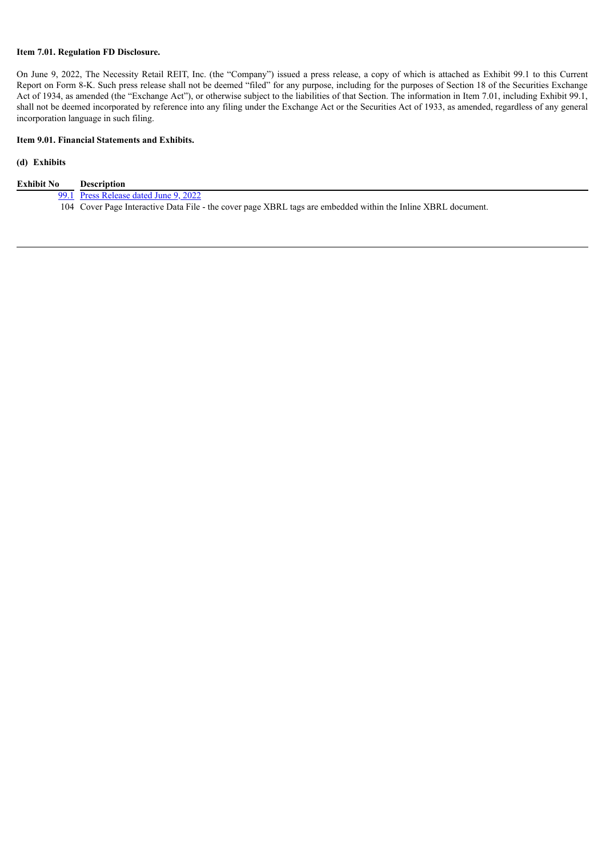## **Item 7.01. Regulation FD Disclosure.**

On June 9, 2022, The Necessity Retail REIT, Inc. (the "Company") issued a press release, a copy of which is attached as Exhibit 99.1 to this Current Report on Form 8-K. Such press release shall not be deemed "filed" for any purpose, including for the purposes of Section 18 of the Securities Exchange Act of 1934, as amended (the "Exchange Act"), or otherwise subject to the liabilities of that Section. The information in Item 7.01, including Exhibit 99.1, shall not be deemed incorporated by reference into any filing under the Exchange Act or the Securities Act of 1933, as amended, regardless of any general incorporation language in such filing.

## **Item 9.01. Financial Statements and Exhibits.**

## **(d) Exhibits**

| Exhibit No | <b>Description</b>                                                                                            |
|------------|---------------------------------------------------------------------------------------------------------------|
|            | 99.1 Press Release dated June 9, 2022                                                                         |
|            | 104 Cover Page Interactive Data File - the cover page XBRL tags are embedded within the Inline XBRL document. |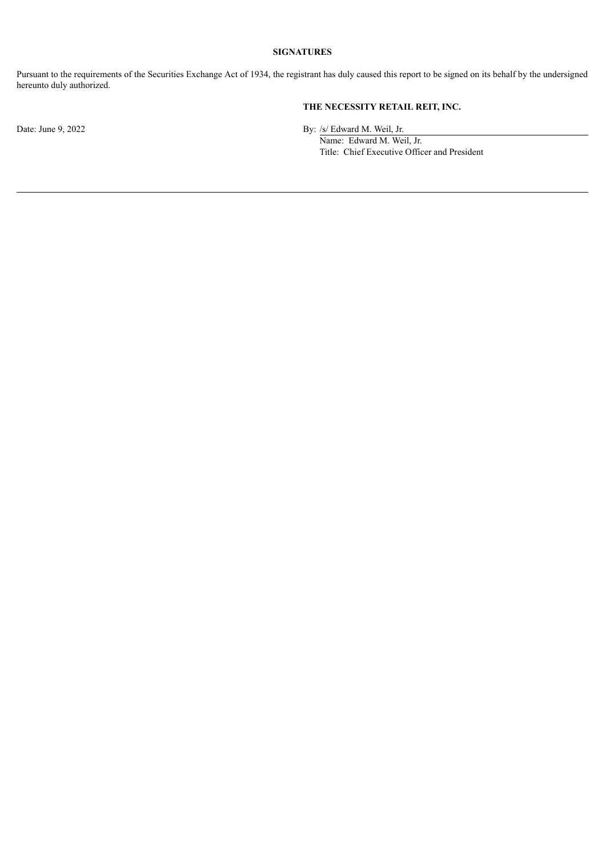## **SIGNATURES**

Pursuant to the requirements of the Securities Exchange Act of 1934, the registrant has duly caused this report to be signed on its behalf by the undersigned hereunto duly authorized.

# **THE NECESSITY RETAIL REIT, INC.**

Date: June 9, 2022 By: /s/ Edward M. Weil, Jr.

Name: Edward M. Weil, Jr. Title: Chief Executive Officer and President